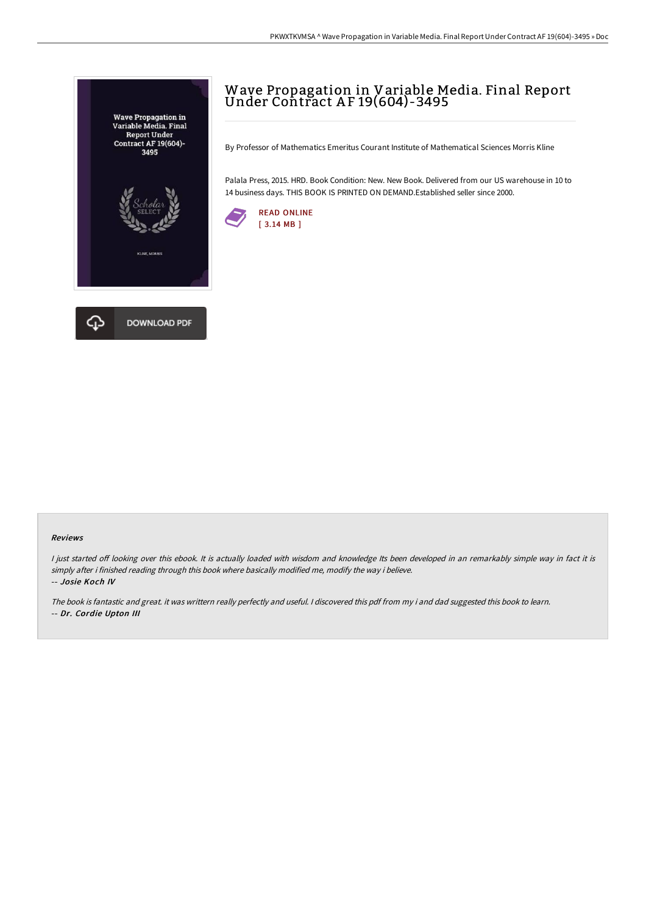

# Wave Propagation in Variable Media. Final Report Under Contract A F 19(604)-3495

By Professor of Mathematics Emeritus Courant Institute of Mathematical Sciences Morris Kline

Palala Press, 2015. HRD. Book Condition: New. New Book. Delivered from our US warehouse in 10 to 14 business days. THIS BOOK IS PRINTED ON DEMAND.Established seller since 2000.



#### Reviews

I just started off looking over this ebook. It is actually loaded with wisdom and knowledge Its been developed in an remarkably simple way in fact it is simply after i finished reading through this book where basically modified me, modify the way i believe. -- Josie Koch IV

The book is fantastic and great. it was writtern really perfectly and useful. <sup>I</sup> discovered this pdf from my i and dad suggested this book to learn. -- Dr. Cordie Upton III